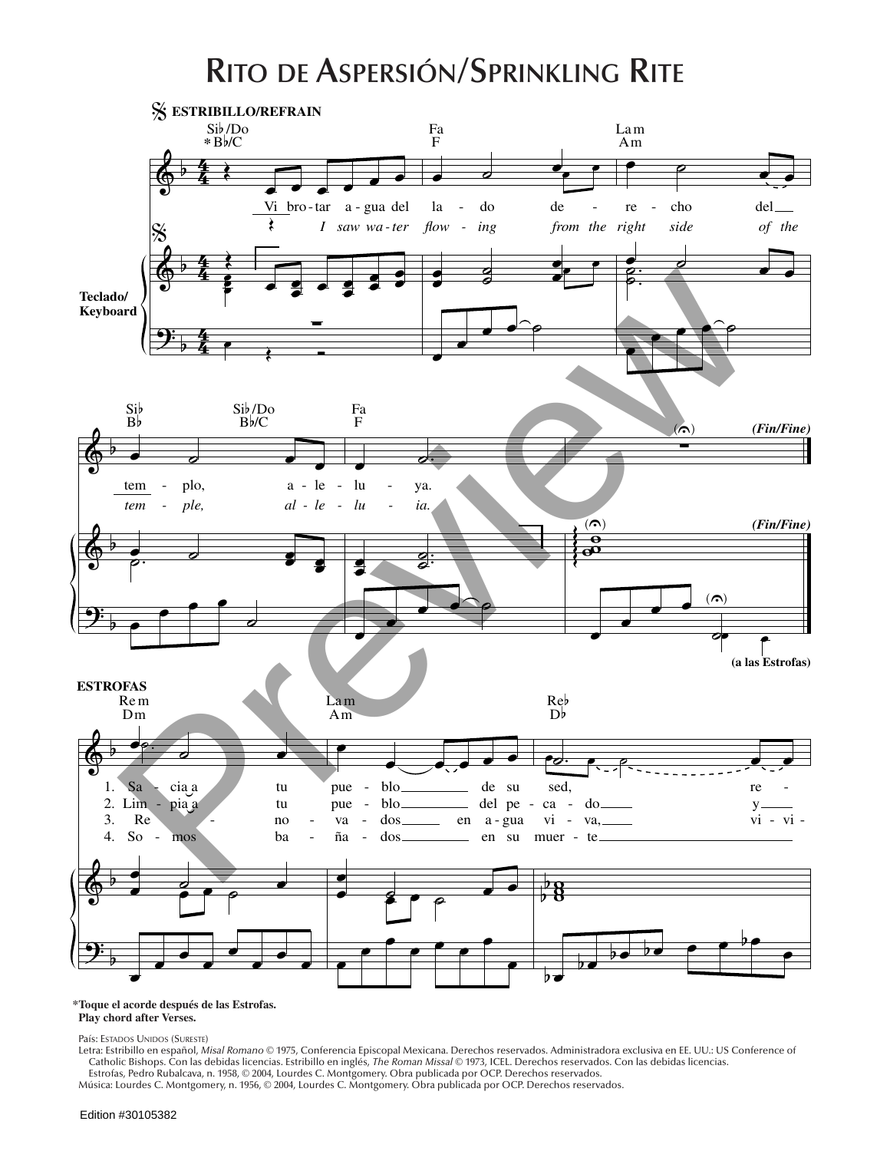## **Rito de Aspersión/Sprinkling Rite**



## **\*Toque el acorde después de las Estrofas. Play chord after Verses.**

País: Estados Unidos (Sureste)

Letra: Estribillo en español, *Misal Romano* © 1975, Conferencia Episcopal Mexicana. Derechos reservados. Administradora exclusiva en EE. UU.: US Conference of Catholic Bishops. Con las debidas licencias. Estribillo en inglés, *The Roman Missal* © 1973, ICEL. Derechos reservados. Con las debidas licencias. Estrofas, Pedro Rubalcava, n. 1958, © 2004, Lourdes C. Montgomery. Obra publicada por OCP. Derechos reservados.

Música: Lourdes C. Montgomery, n. 1956, © 2004, Lourdes C. Montgomery. Obra publicada por OCP. Derechos reservados.